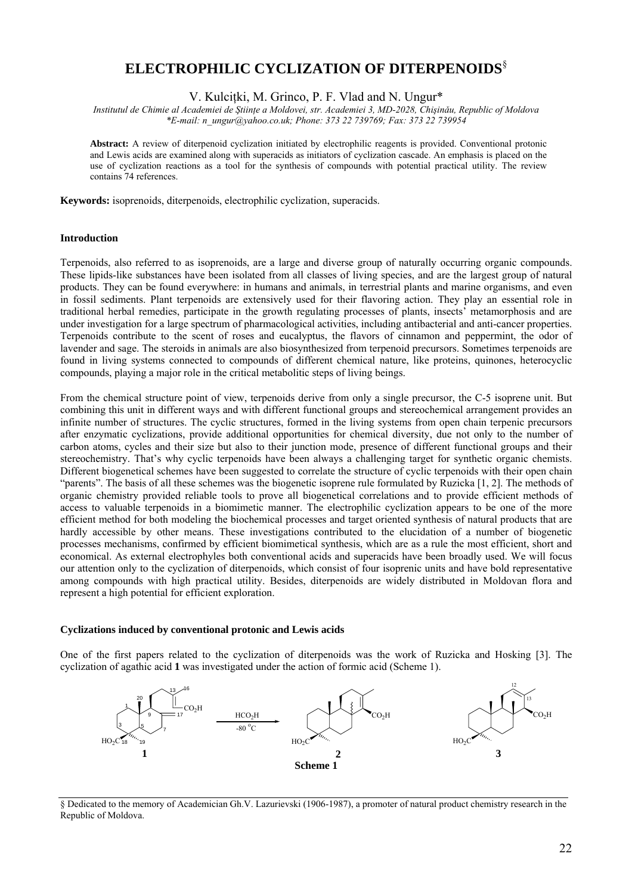# **ELECTROPHILIC CYCLIZATION OF DITERPENOIDS**§

V. Kulciţki, M. Grinco, P. F. Vlad and N. Ungur\*

*Institutul de Chimie al Academiei de Ştiinţe a Moldovei, str. Academiei 3, MD-2028, Chişinǎu, Republic of Moldova \*E-mail: n\_ungur@yahoo.co.uk; Phone: 373 22 739769; Fax: 373 22 739954* 

**Abstract:** A review of diterpenoid cyclization initiated by electrophilic reagents is provided. Conventional protonic and Lewis acids are examined along with superacids as initiators of cyclization cascade. An emphasis is placed on the use of cyclization reactions as a tool for the synthesis of compounds with potential practical utility. The review contains 74 references.

**Keywords:** isoprenoids, diterpenoids, electrophilic cyclization, superacids.

#### **Introduction**

Terpenoids, also referred to as isoprenoids, are a large and diverse group of naturally occurring organic compounds. These lipids-like substances have been isolated from all classes of living species, and are the largest group of natural products. They can be found everywhere: in humans and animals, in terrestrial plants and marine organisms, and even in fossil sediments. Plant terpenoids are extensively used for their flavoring action. They play an essential role in traditional herbal remedies, participate in the growth regulating processes of plants, insects' metamorphosis and are under investigation for a large spectrum of pharmacological activities, including antibacterial and anti-cancer properties. Terpenoids contribute to the scent of roses and eucalyptus, the flavors of cinnamon and peppermint, the odor of lavender and sage. The steroids in animals are also biosynthesized from terpenoid precursors. Sometimes terpenoids are found in living systems connected to compounds of different chemical nature, like proteins, quinones, heterocyclic compounds, playing a major role in the critical metabolitic steps of living beings.

From the chemical structure point of view, terpenoids derive from only a single precursor, the C-5 isoprene unit. But combining this unit in different ways and with different functional groups and stereochemical arrangement provides an infinite number of structures. The cyclic structures, formed in the living systems from open chain terpenic precursors after enzymatic cyclizations, provide additional opportunities for chemical diversity, due not only to the number of carbon atoms, cycles and their size but also to their junction mode, presence of different functional groups and their stereochemistry. That's why cyclic terpenoids have been always a challenging target for synthetic organic chemists. Different biogenetical schemes have been suggested to correlate the structure of cyclic terpenoids with their open chain "parents". The basis of all these schemes was the biogenetic isoprene rule formulated by Ruzicka [1, 2]. The methods of organic chemistry provided reliable tools to prove all biogenetical correlations and to provide efficient methods of access to valuable terpenoids in a biomimetic manner. The electrophilic cyclization appears to be one of the more efficient method for both modeling the biochemical processes and target oriented synthesis of natural products that are hardly accessible by other means. These investigations contributed to the elucidation of a number of biogenetic processes mechanisms, confirmed by efficient biomimetical synthesis, which are as a rule the most efficient, short and economical. As external electrophyles both conventional acids and superacids have been broadly used. We will focus our attention only to the cyclization of diterpenoids, which consist of four isoprenic units and have bold representative among compounds with high practical utility. Besides, diterpenoids are widely distributed in Moldovan flora and represent a high potential for efficient exploration.

#### **Cyclizations induced by conventional protonic and Lewis acids**

One of the first papers related to the cyclization of diterpenoids was the work of Ruzicka and Hosking [3]. The cyclization of agathic acid **1** was investigated under the action of formic acid (Scheme 1).



§ Dedicated to the memory of Academician Gh.V. Lazurievski (1906-1987), a promoter of natural product chemistry research in the Republic of Moldova.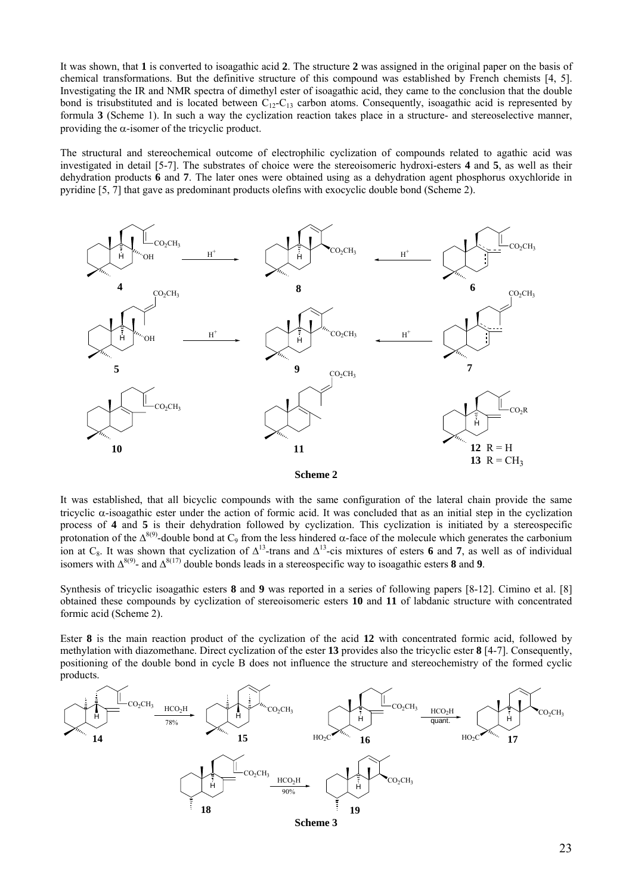It was shown, that **1** is converted to isoagathic acid **2**. The structure **2** was assigned in the original paper on the basis of chemical transformations. But the definitive structure of this compound was established by French chemists [4, 5]. Investigating the IR and NMR spectra of dimethyl ester of isoagathic acid, they came to the conclusion that the double bond is trisubstituted and is located between  $C_{12}-C_{13}$  carbon atoms. Consequently, isoagathic acid is represented by formula **3** (Scheme 1). In such a way the cyclization reaction takes place in a structure- and stereoselective manner, providing the  $\alpha$ -isomer of the tricyclic product.

The structural and stereochemical outcome of electrophilic cyclization of compounds related to agathic acid was investigated in detail [5-7]. The substrates of choice were the stereoisomeric hydroxi-esters **4** and **5**, as well as their dehydration products **6** and **7**. The later ones were obtained using as a dehydration agent phosphorus oxychloride in pyridine [5, 7] that gave as predominant products olefins with exocyclic double bond (Scheme 2).



**Scheme 2**

It was established, that all bicyclic compounds with the same configuration of the lateral chain provide the same tricyclic α-isoagathic ester under the action of formic acid. It was concluded that as an initial step in the cyclization process of **4** and **5** is their dehydration followed by cyclization. This cyclization is initiated by a stereospecific protonation of the  $Δ^{8(9)}$ -double bond at C<sub>9</sub> from the less hindered α-face of the molecule which generates the carbonium ion at C<sub>8</sub>. It was shown that cyclization of  $\Delta^{13}$ -trans and  $\Delta^{13}$ -cis mixtures of esters **6** and **7**, as well as of individual isomers with ∆8(9)- and ∆8(17) double bonds leads in a stereospecific way to isoagathic esters **8** and **9**.

Synthesis of tricyclic isoagathic esters **8** and **9** was reported in a series of following papers [8-12]. Cimino et al. [8] obtained these compounds by cyclization of stereoisomeric esters **10** and **11** of labdanic structure with concentrated formic acid (Scheme 2).

Ester **8** is the main reaction product of the cyclization of the acid **12** with concentrated formic acid, followed by methylation with diazomethane. Direct cyclization of the ester **13** provides also the tricyclic ester **8** [4-7]. Consequently, positioning of the double bond in cycle B does not influence the structure and stereochemistry of the formed cyclic products.

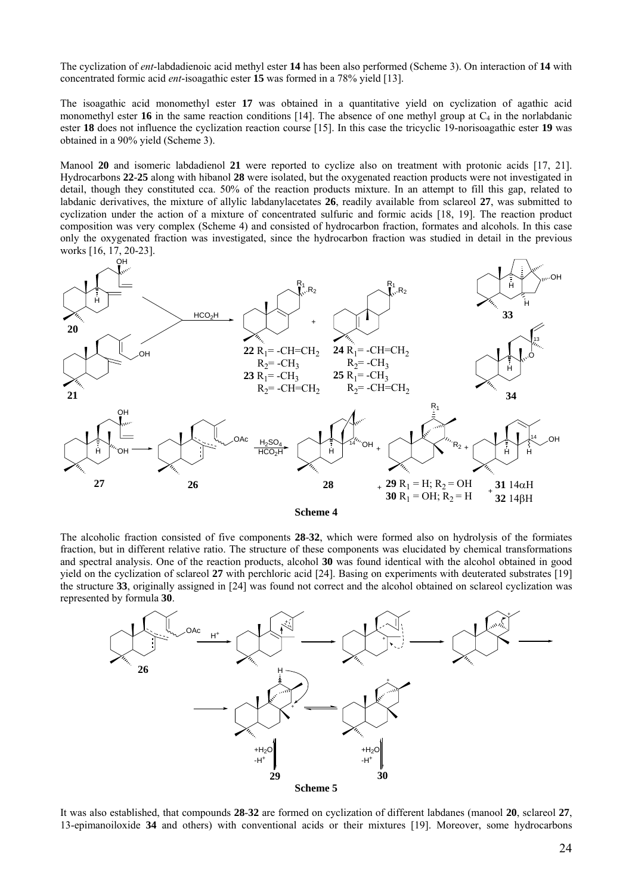The cyclization of *ent*-labdadienoic acid methyl ester **14** has been also performed (Scheme 3). On interaction of **14** with concentrated formic acid *ent*-isoagathic ester **15** was formed in a 78% yield [13].

The isoagathic acid monomethyl ester **17** was obtained in a quantitative yield on cyclization of agathic acid monomethyl ester **16** in the same reaction conditions [14]. The absence of one methyl group at  $C_4$  in the norlabdanic ester **18** does not influence the cyclization reaction course [15]. In this case the tricyclic 19-norisoagathic ester **19** was obtained in a 90% yield (Scheme 3).

Manool **20** and isomeric labdadienol **21** were reported to cyclize also on treatment with protonic acids [17, 21]. Hydrocarbons **22**-**25** along with hibanol **28** were isolated, but the oxygenated reaction products were not investigated in detail, though they constituted cca. 50% of the reaction products mixture. In an attempt to fill this gap, related to labdanic derivatives, the mixture of allylic labdanylacetates **26**, readily available from sclareol **27**, was submitted to cyclization under the action of a mixture of concentrated sulfuric and formic acids [18, 19]. The reaction product composition was very complex (Scheme 4) and consisted of hydrocarbon fraction, formates and alcohols. In this case only the oxygenated fraction was investigated, since the hydrocarbon fraction was studied in detail in the previous works [16, 17, 20-23].



**Scheme 4** 

The alcoholic fraction consisted of five components **28**-**32**, which were formed also on hydrolysis of the formiates fraction, but in different relative ratio. The structure of these components was elucidated by chemical transformations and spectral analysis. One of the reaction products, alcohol **30** was found identical with the alcohol obtained in good yield on the cyclization of sclareol **27** with perchloric acid [24]. Basing on experiments with deuterated substrates [19] the structure **33**, originally assigned in [24] was found not correct and the alcohol obtained on sclareol cyclization was represented by formula **30**.



It was also established, that compounds **28**-**32** are formed on cyclization of different labdanes (manool **20**, sclareol **27**, 13-epimanoiloxide **34** and others) with conventional acids or their mixtures [19]. Moreover, some hydrocarbons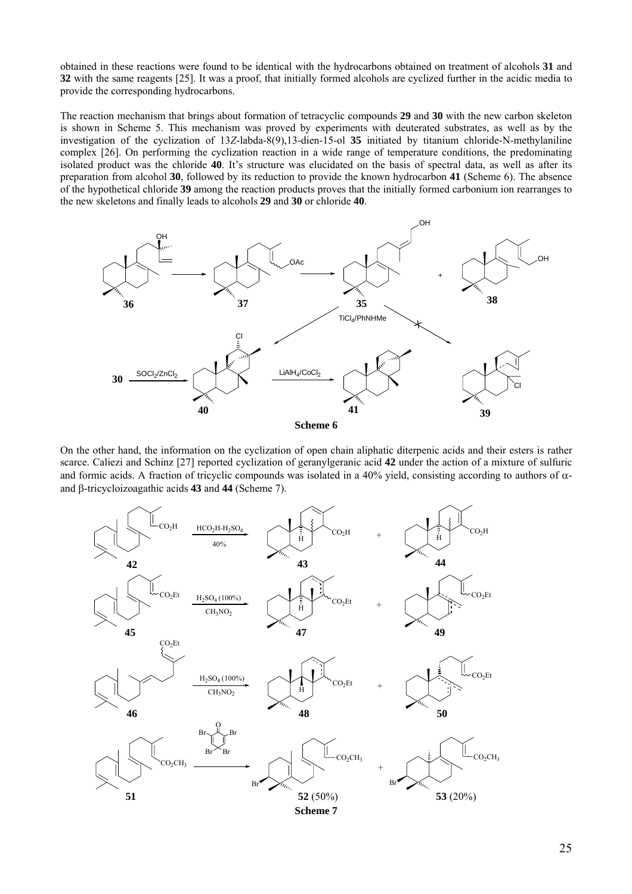obtained in these reactions were found to be identical with the hydrocarbons obtained on treatment of alcohols **31** and **32** with the same reagents [25]. It was a proof, that initially formed alcohols are cyclized further in the acidic media to provide the corresponding hydrocarbons.

The reaction mechanism that brings about formation of tetracyclic compounds **29** and **30** with the new carbon skeleton is shown in Scheme 5. This mechanism was proved by experiments with deuterated substrates, as well as by the investigation of the cyclization of 13*Z*-labda-8(9),13-dien-15-ol **35** initiated by titanium chloride-N-methylaniline complex [26]. On performing the cyclization reaction in a wide range of temperature conditions, the predominating isolated product was the chloride **40**. It's structure was elucidated on the basis of spectral data, as well as after its preparation from alcohol **30**, followed by its reduction to provide the known hydrocarbon **41** (Scheme 6). The absence of the hypothetical chloride **39** among the reaction products proves that the initially formed carbonium ion rearranges to the new skeletons and finally leads to alcohols **29** and **30** or chloride **40**.



On the other hand, the information on the cyclization of open chain aliphatic diterpenic acids and their esters is rather scarce. Caliezi and Schinz [27] reported cyclization of geranylgeranic acid **42** under the action of a mixture of sulfuric and formic acids. A fraction of tricyclic compounds was isolated in a 40% yield, consisting according to authors of  $\alpha$ and β-tricycloizoagathic acids **43** and **44** (Scheme 7).

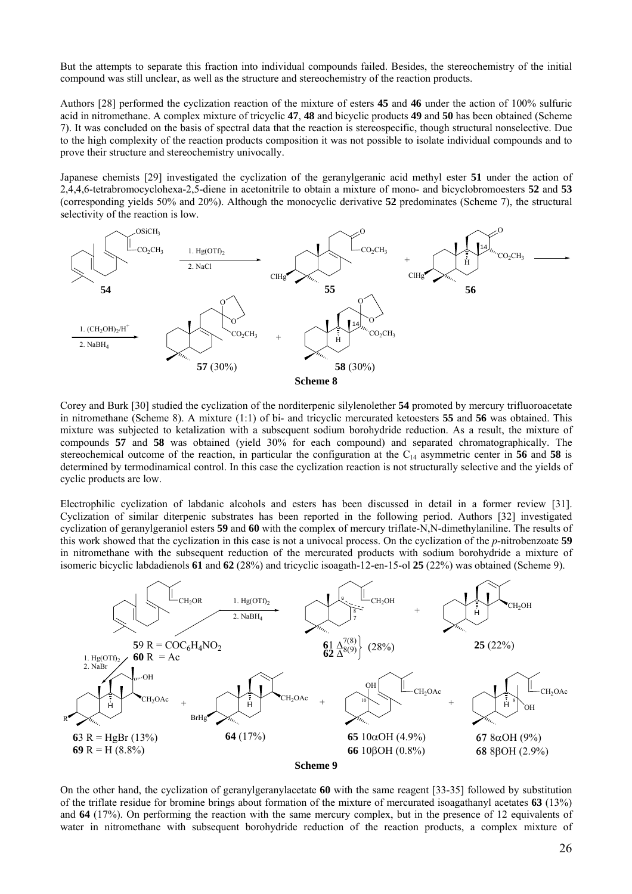But the attempts to separate this fraction into individual compounds failed. Besides, the stereochemistry of the initial compound was still unclear, as well as the structure and stereochemistry of the reaction products.

Authors [28] performed the cyclization reaction of the mixture of esters **45** and **46** under the action of 100% sulfuric acid in nitromethane. A complex mixture of tricyclic **47**, **48** and bicyclic products **49** and **50** has been obtained (Scheme 7). It was concluded on the basis of spectral data that the reaction is stereospecific, though structural nonselective. Due to the high complexity of the reaction products composition it was not possible to isolate individual compounds and to prove their structure and stereochemistry univocally.

Japanese chemists [29] investigated the cyclization of the geranylgeranic acid methyl ester **51** under the action of 2,4,4,6-tetrabromocyclohexa-2,5-diene in acetonitrile to obtain a mixture of mono- and bicyclobromoesters **52** and **53** (corresponding yields 50% and 20%). Although the monocyclic derivative **52** predominates (Scheme 7), the structural selectivity of the reaction is low.



Corey and Burk [30] studied the cyclization of the norditerpenic silylenolether **54** promoted by mercury trifluoroacetate in nitromethane (Scheme 8). A mixture (1:1) of bi- and tricyclic mercurated ketoesters **55** and **56** was obtained. This mixture was subjected to ketalization with a subsequent sodium borohydride reduction. As a result, the mixture of compounds **57** and **58** was obtained (yield 30% for each compound) and separated chromatographically. The stereochemical outcome of the reaction, in particular the configuration at the C14 asymmetric center in **56** and **58** is determined by termodinamical control. In this case the cyclization reaction is not structurally selective and the yields of cyclic products are low.

Electrophilic cyclization of labdanic alcohols and esters has been discussed in detail in a former review [31]. Cyclization of similar diterpenic substrates has been reported in the following period. Authors [32] investigated cyclization of geranylgeraniol esters **59** and **60** with the complex of mercury triflate-N,N-dimethylaniline. The results of this work showed that the cyclization in this case is not a univocal process. On the cyclization of the *p*-nitrobenzoate **59** in nitromethane with the subsequent reduction of the mercurated products with sodium borohydride a mixture of isomeric bicyclic labdadienols **61** and **62** (28%) and tricyclic isoagath-12-en-15-ol **25** (22%) was obtained (Scheme 9).



On the other hand, the cyclization of geranylgeranylacetate **60** with the same reagent [33-35] followed by substitution of the triflate residue for bromine brings about formation of the mixture of mercurated isoagathanyl acetates **63** (13%) and **64** (17%). On performing the reaction with the same mercury complex, but in the presence of 12 equivalents of water in nitromethane with subsequent borohydride reduction of the reaction products, a complex mixture of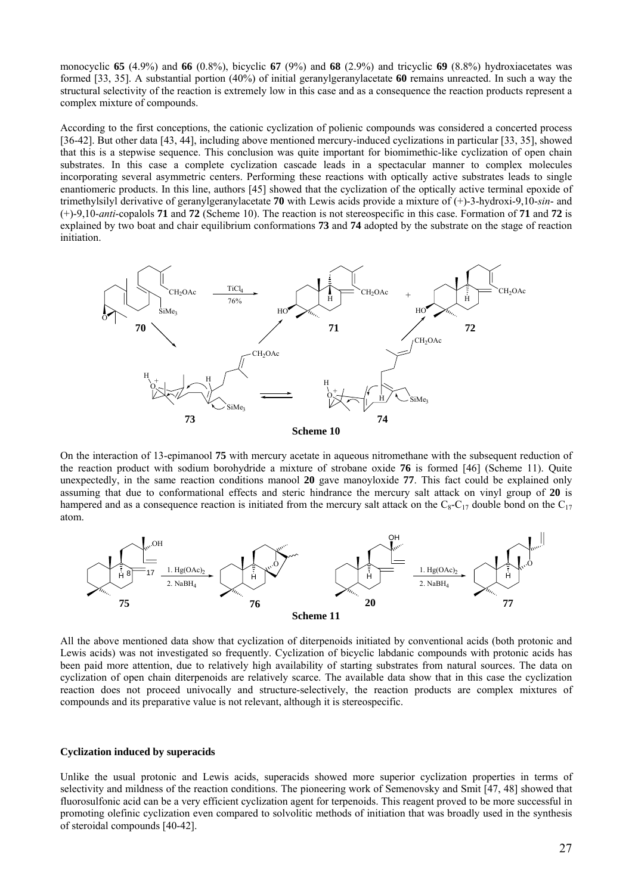monocyclic **65** (4.9%) and **66** (0.8%), bicyclic **67** (9%) and **68** (2.9%) and tricyclic **69** (8.8%) hydroxiacetates was formed [33, 35]. A substantial portion (40%) of initial geranylgeranylacetate **60** remains unreacted. In such a way the structural selectivity of the reaction is extremely low in this case and as a consequence the reaction products represent a complex mixture of compounds.

According to the first conceptions, the cationic cyclization of polienic compounds was considered a concerted process [36-42]. But other data [43, 44], including above mentioned mercury-induced cyclizations in particular [33, 35], showed that this is a stepwise sequence. This conclusion was quite important for biomimethic-like cyclization of open chain substrates. In this case a complete cyclization cascade leads in a spectacular manner to complex molecules incorporating several asymmetric centers. Performing these reactions with optically active substrates leads to single enantiomeric products. In this line, authors [45] showed that the cyclization of the optically active terminal epoxide of trimethylsilyl derivative of geranylgeranylacetate **70** with Lewis acids provide a mixture of (+)-3-hydroxi-9,10-*sin*- and (+)-9,10-*anti*-copalols **71** and **72** (Scheme 10). The reaction is not stereospecific in this case. Formation of **71** and **72** is explained by two boat and chair equilibrium conformations **73** and **74** adopted by the substrate on the stage of reaction initiation.



On the interaction of 13-epimanool **75** with mercury acetate in aqueous nitromethane with the subsequent reduction of the reaction product with sodium borohydride a mixture of strobane oxide **76** is formed [46] (Scheme 11). Quite unexpectedly, in the same reaction conditions manool **20** gave manoyloxide **77**. This fact could be explained only assuming that due to conformational effects and steric hindrance the mercury salt attack on vinyl group of **20** is hampered and as a consequence reaction is initiated from the mercury salt attack on the  $C_8-C_{17}$  double bond on the  $C_{17}$ atom.



All the above mentioned data show that cyclization of diterpenoids initiated by conventional acids (both protonic and Lewis acids) was not investigated so frequently. Cyclization of bicyclic labdanic compounds with protonic acids has been paid more attention, due to relatively high availability of starting substrates from natural sources. The data on cyclization of open chain diterpenoids are relatively scarce. The available data show that in this case the cyclization reaction does not proceed univocally and structure-selectively, the reaction products are complex mixtures of compounds and its preparative value is not relevant, although it is stereospecific.

## **Cyclization induced by superacids**

Unlike the usual protonic and Lewis acids, superacids showed more superior cyclization properties in terms of selectivity and mildness of the reaction conditions. The pioneering work of Semenovsky and Smit [47, 48] showed that fluorosulfonic acid can be a very efficient cyclization agent for terpenoids. This reagent proved to be more successful in promoting olefinic cyclization even compared to solvolitic methods of initiation that was broadly used in the synthesis of steroidal compounds [40-42].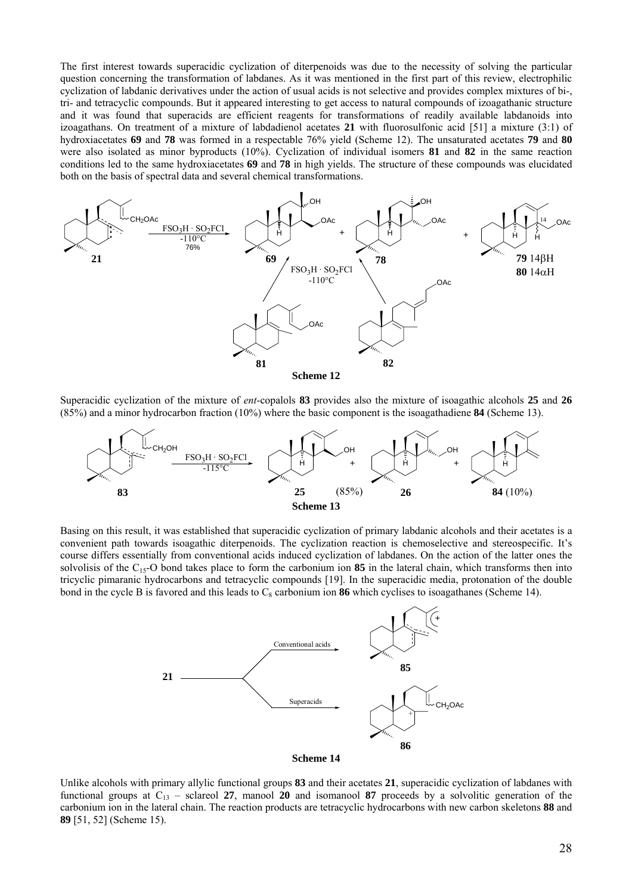The first interest towards superacidic cyclization of diterpenoids was due to the necessity of solving the particular question concerning the transformation of labdanes. As it was mentioned in the first part of this review, electrophilic cyclization of labdanic derivatives under the action of usual acids is not selective and provides complex mixtures of bi-, tri- and tetracyclic compounds. But it appeared interesting to get access to natural compounds of izoagathanic structure and it was found that superacids are efficient reagents for transformations of readily available labdanoids into izoagathans. On treatment of a mixture of labdadienol acetates **21** with fluorosulfonic acid [51] a mixture (3:1) of hydroxiacetates **69** and **78** was formed in a respectable 76% yield (Scheme 12). The unsaturated acetates **79** and **80** were also isolated as minor byproducts (10%). Cyclization of individual isomers **81** and **82** in the same reaction conditions led to the same hydroxiacetates **69** and **78** in high yields. The structure of these compounds was elucidated both on the basis of spectral data and several chemical transformations.



Superacidic cyclization of the mixture of *ent*-copalols **83** provides also the mixture of isoagathic alcohols **25** and **26** (85%) and a minor hydrocarbon fraction (10%) where the basic component is the isoagathadiene **84** (Scheme 13).



Basing on this result, it was established that superacidic cyclization of primary labdanic alcohols and their acetates is a convenient path towards isoagathic diterpenoids. The cyclization reaction is chemoselective and stereospecific. It's course differs essentially from conventional acids induced cyclization of labdanes. On the action of the latter ones the solvolisis of the C15-O bond takes place to form the carbonium ion **85** in the lateral chain, which transforms then into tricyclic pimaranic hydrocarbons and tetracyclic compounds [19]. In the superacidic media, protonation of the double bond in the cycle B is favored and this leads to  $C_8$  carbonium ion **86** which cyclises to isoagathanes (Scheme 14).



Unlike alcohols with primary allylic functional groups **83** and their acetates **21**, superacidic cyclization of labdanes with functional groups at  $C_{13}$  – sclareol 27, manool 20 and isomanool 87 proceeds by a solvolitic generation of the carbonium ion in the lateral chain. The reaction products are tetracyclic hydrocarbons with new carbon skeletons **88** and **89** [51, 52] (Scheme 15).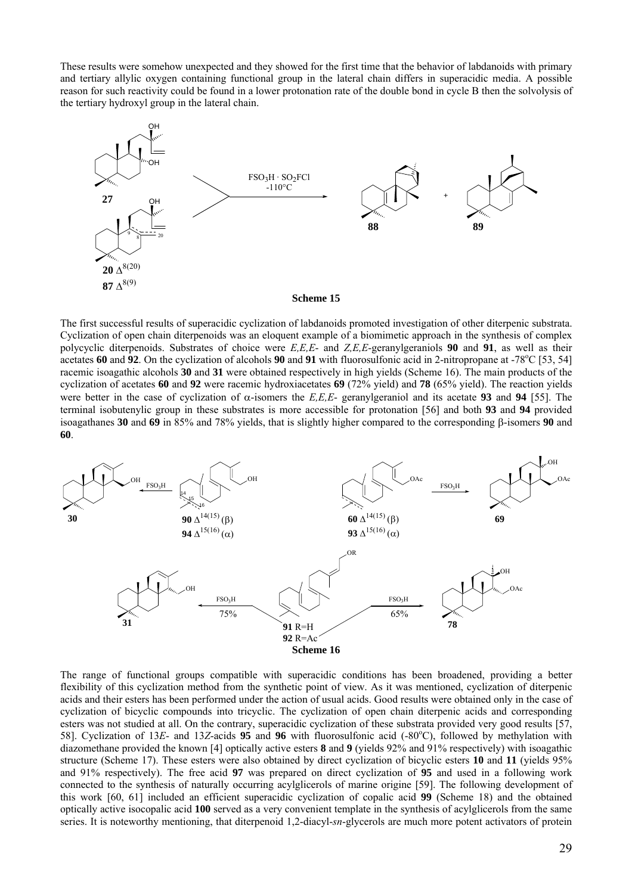These results were somehow unexpected and they showed for the first time that the behavior of labdanoids with primary and tertiary allylic oxygen containing functional group in the lateral chain differs in superacidic media. A possible reason for such reactivity could be found in a lower protonation rate of the double bond in cycle B then the solvolysis of the tertiary hydroxyl group in the lateral chain.



The first successful results of superacidic cyclization of labdanoids promoted investigation of other diterpenic substrata. Cyclization of open chain diterpenoids was an eloquent example of a biomimetic approach in the synthesis of complex polycyclic diterpenoids. Substrates of choice were *E,E,E*- and *Z,E,E*-geranylgeraniols **90** and **91**, as well as their acetates 60 and 92. On the cyclization of alcohols 90 and 91 with fluorosulfonic acid in 2-nitropropane at -78°C [53, 54] racemic isoagathic alcohols **30** and **31** were obtained respectively in high yields (Scheme 16). The main products of the cyclization of acetates **60** and **92** were racemic hydroxiacetates **69** (72% yield) and **78** (65% yield). The reaction yields were better in the case of cyclization of  $\alpha$ -isomers the *E,E,E*- geranylgeraniol and its acetate **93** and **94** [55]. The terminal isobutenylic group in these substrates is more accessible for protonation [56] and both **93** and **94** provided isoagathanes **30** and **69** in 85% and 78% yields, that is slightly higher compared to the corresponding β-isomers **90** and **60**.



The range of functional groups compatible with superacidic conditions has been broadened, providing a better flexibility of this cyclization method from the synthetic point of view. As it was mentioned, cyclization of diterpenic acids and their esters has been performed under the action of usual acids. Good results were obtained only in the case of cyclization of bicyclic compounds into tricyclic. The cyclization of open chain diterpenic acids and corresponding esters was not studied at all. On the contrary, superacidic cyclization of these substrata provided very good results [57, 58]. Cyclization of 13E- and 13Z-acids 95 and 96 with fluorosulfonic acid (-80°C), followed by methylation with diazomethane provided the known [4] optically active esters **8** and **9** (yields 92% and 91% respectively) with isoagathic structure (Scheme 17). These esters were also obtained by direct cyclization of bicyclic esters **10** and **11** (yields 95% and 91% respectively). The free acid **97** was prepared on direct cyclization of **95** and used in a following work connected to the synthesis of naturally occurring acylglicerols of marine origine [59]. The following development of this work [60, 61] included an efficient superacidic cyclization of copalic acid **99** (Scheme 18) and the obtained optically active isocopalic acid **100** served as a very convenient template in the synthesis of acylglicerols from the same series. It is noteworthy mentioning, that diterpenoid 1,2-diacyl-*sn*-glycerols are much more potent activators of protein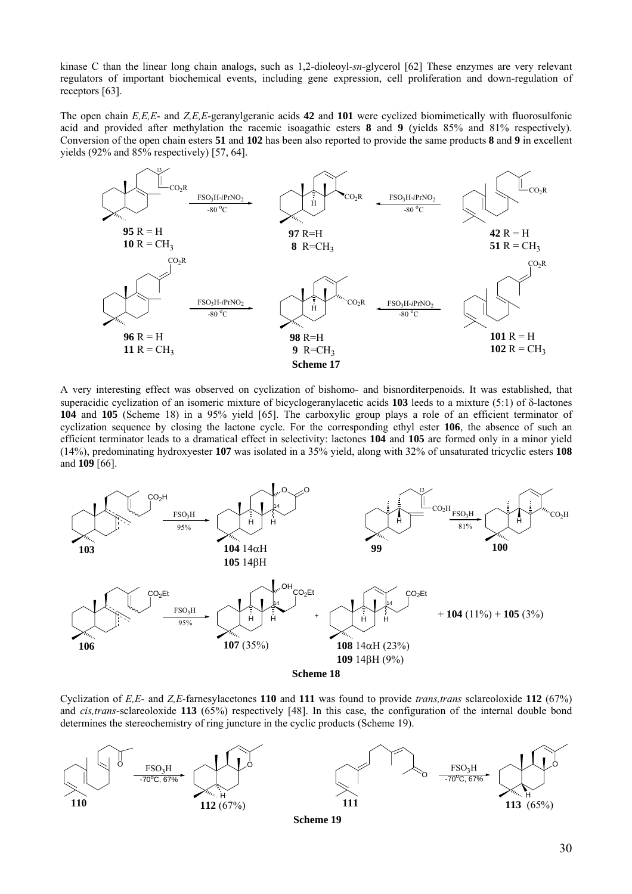kinase C than the linear long chain analogs, such as 1,2-dioleoyl-*sn*-glycerol [62] These enzymes are very relevant regulators of important biochemical events, including gene expression, cell proliferation and down-regulation of receptors [63].

The open chain *E,E,E*- and *Z,E,E*-geranylgeranic acids **42** and **101** were cyclized biomimetically with fluorosulfonic acid and provided after methylation the racemic isoagathic esters **8** and **9** (yields 85% and 81% respectively). Conversion of the open chain esters **51** and **102** has been also reported to provide the same products **8** and **9** in excellent yields (92% and 85% respectively) [57, 64].



A very interesting effect was observed on cyclization of bishomo- and bisnorditerpenoids. It was established, that superacidic cyclization of an isomeric mixture of bicyclogeranylacetic acids **103** leeds to a mixture (5:1) of δ-lactones **104** and **105** (Scheme 18) in a 95% yield [65]. The carboxylic group plays a role of an efficient terminator of cyclization sequence by closing the lactone cycle. For the corresponding ethyl ester **106**, the absence of such an efficient terminator leads to a dramatical effect in selectivity: lactones **104** and **105** are formed only in a minor yield (14%), predominating hydroxyester **107** was isolated in a 35% yield, along with 32% of unsaturated tricyclic esters **108** and **109** [66].



Cyclization of *E,E*- and *Z,E*-farnesylacetones **110** and **111** was found to provide *trans,trans* sclareoloxide **112** (67%) and *cis,trans*-sclareoloxide **113** (65%) respectively [48]. In this case, the configuration of the internal double bond determines the stereochemistry of ring juncture in the cyclic products (Scheme 19).

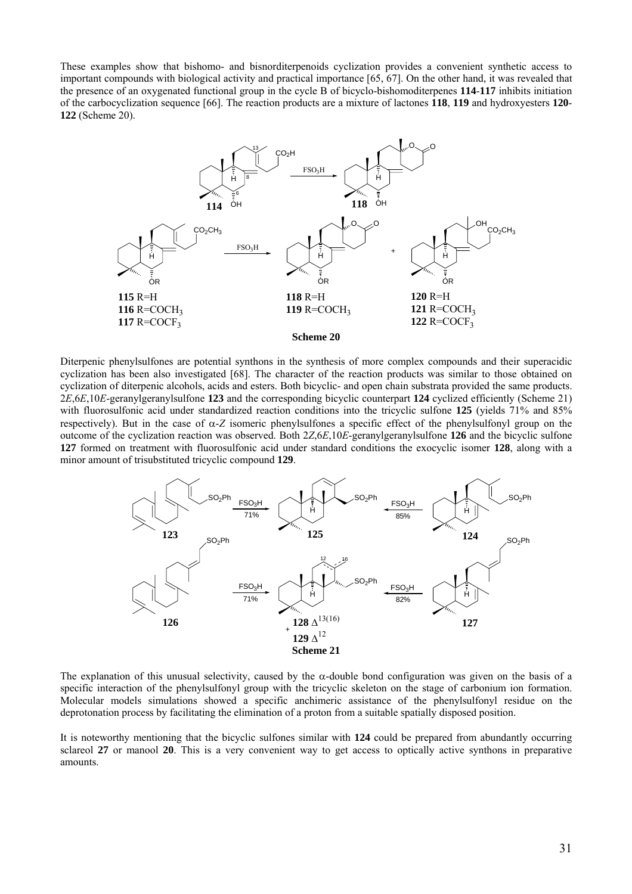These examples show that bishomo- and bisnorditerpenoids cyclization provides a convenient synthetic access to important compounds with biological activity and practical importance [65, 67]. On the other hand, it was revealed that the presence of an oxygenated functional group in the cycle B of bicyclo-bishomoditerpenes **114**-**117** inhibits initiation of the carbocyclization sequence [66]. The reaction products are a mixture of lactones **118**, **119** and hydroxyesters **120**- **122** (Scheme 20).



Diterpenic phenylsulfones are potential synthons in the synthesis of more complex compounds and their superacidic cyclization has been also investigated [68]. The character of the reaction products was similar to those obtained on cyclization of diterpenic alcohols, acids and esters. Both bicyclic- and open chain substrata provided the same products. 2*E*,6*E*,10*E*-geranylgeranylsulfone **123** and the corresponding bicyclic counterpart **124** cyclized efficiently (Scheme 21) with fluorosulfonic acid under standardized reaction conditions into the tricyclic sulfone **125** (yields 71% and 85% respectively). But in the case of α-*Z* isomeric phenylsulfones a specific effect of the phenylsulfonyl group on the outcome of the cyclization reaction was observed. Both 2*Z*,6*E*,10*E*-geranylgeranylsulfone **126** and the bicyclic sulfone **127** formed on treatment with fluorosulfonic acid under standard conditions the exocyclic isomer **128**, along with a minor amount of trisubstituted tricyclic compound **129**.



The explanation of this unusual selectivity, caused by the α-double bond configuration was given on the basis of a specific interaction of the phenylsulfonyl group with the tricyclic skeleton on the stage of carbonium ion formation. Molecular models simulations showed a specific anchimeric assistance of the phenylsulfonyl residue on the deprotonation process by facilitating the elimination of a proton from a suitable spatially disposed position.

It is noteworthy mentioning that the bicyclic sulfones similar with **124** could be prepared from abundantly occurring sclareol **27** or manool **20**. This is a very convenient way to get access to optically active synthons in preparative amounts.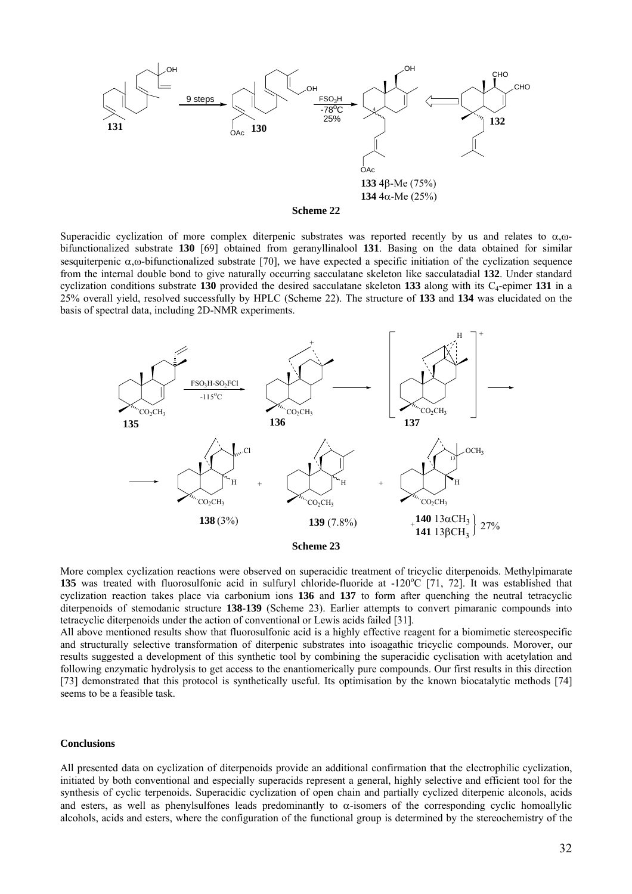

Superacidic cyclization of more complex diterpenic substrates was reported recently by us and relates to  $\alpha$ , $\omega$ bifunctionalized substrate **130** [69] obtained from geranyllinalool **131**. Basing on the data obtained for similar sesquiterpenic  $\alpha$ , $\omega$ -bifunctionalized substrate [70], we have expected a specific initiation of the cyclization sequence from the internal double bond to give naturally occurring sacculatane skeleton like sacculatadial **132**. Under standard cyclization conditions substrate **130** provided the desired sacculatane skeleton **133** along with its  $C_4$ -epimer **131** in a 25% overall yield, resolved successfully by HPLC (Scheme 22). The structure of **133** and **134** was elucidated on the basis of spectral data, including 2D-NMR experiments.



More complex cyclization reactions were observed on superacidic treatment of tricyclic diterpenoids. Methylpimarate 135 was treated with fluorosulfonic acid in sulfuryl chloride-fluoride at -120°C [71, 72]. It was established that cyclization reaction takes place via carbonium ions **136** and **137** to form after quenching the neutral tetracyclic diterpenoids of stemodanic structure **138**-**139** (Scheme 23). Earlier attempts to convert pimaranic compounds into tetracyclic diterpenoids under the action of conventional or Lewis acids failed [31].

All above mentioned results show that fluorosulfonic acid is a highly effective reagent for a biomimetic stereospecific and structurally selective transformation of diterpenic substrates into isoagathic tricyclic compounds. Morover, our results suggested a development of this synthetic tool by combining the superacidic cyclisation with acetylation and following enzymatic hydrolysis to get access to the enantiomerically pure compounds. Our first results in this direction [73] demonstrated that this protocol is synthetically useful. Its optimisation by the known biocatalytic methods [74] seems to be a feasible task.

## **Conclusions**

All presented data on cyclization of diterpenoids provide an additional confirmation that the electrophilic cyclization, initiated by both conventional and especially superacids represent a general, highly selective and efficient tool for the synthesis of cyclic terpenoids. Superacidic cyclization of open chain and partially cyclized diterpenic alconols, acids and esters, as well as phenylsulfones leads predominantly to  $\alpha$ -isomers of the corresponding cyclic homoallylic alcohols, acids and esters, where the configuration of the functional group is determined by the stereochemistry of the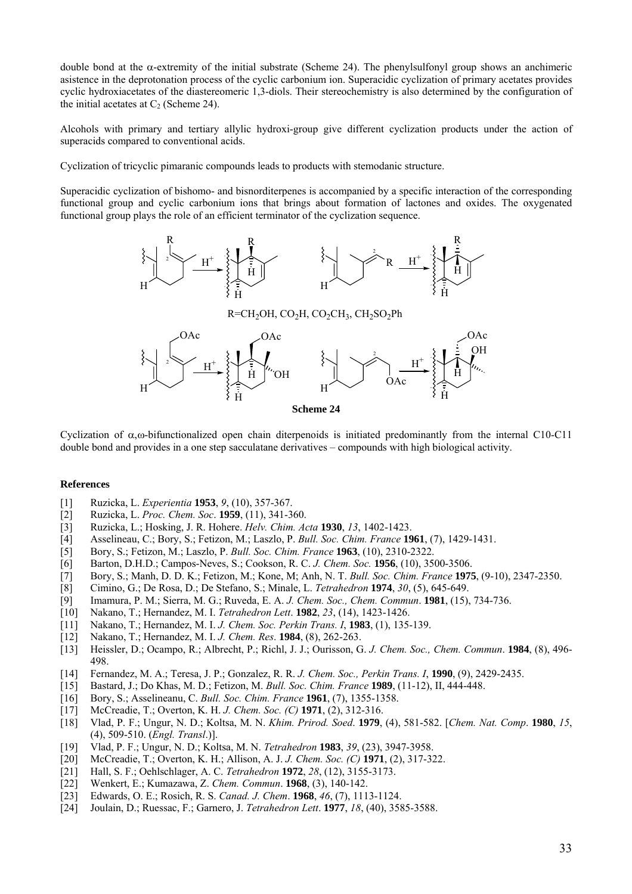double bond at the α-extremity of the initial substrate (Scheme 24). The phenylsulfonyl group shows an anchimeric asistence in the deprotonation process of the cyclic carbonium ion. Superacidic cyclization of primary acetates provides cyclic hydroxiacetates of the diastereomeric 1,3-diols. Their stereochemistry is also determined by the configuration of the initial acetates at  $C_2$  (Scheme 24).

Alcohols with primary and tertiary allylic hydroxi-group give different cyclization products under the action of superacids compared to conventional acids.

Cyclization of tricyclic pimaranic compounds leads to products with stemodanic structure.

Superacidic cyclization of bishomo- and bisnorditerpenes is accompanied by a specific interaction of the corresponding functional group and cyclic carbonium ions that brings about formation of lactones and oxides. The oxygenated functional group plays the role of an efficient terminator of the cyclization sequence.





**Scheme 24** 

Cyclization of  $α$ ,ω-bifunctionalized open chain diterpenoids is initiated predominantly from the internal C10-C11 double bond and provides in a one step sacculatane derivatives – compounds with high biological activity.

### **References**

- [1] Ruzicka, L. *Experientia* **1953**, *9*, (10), 357-367.
- [2] Ruzicka, L. *Proc. Chem. Soc*. **1959**, (11), 341-360.
- [3] Ruzicka, L.; Hosking, J. R. Hohere. *Helv. Chim. Acta* **1930**, *13*, 1402-1423.
- [4] Asselineau, C.; Bory, S.; Fetizon, M.; Laszlo, P. *Bull. Soc. Chim. France* **1961**, (7), 1429-1431.
- [5] Bory, S.; Fetizon, M.; Laszlo, P. *Bull. Soc. Chim. France* **1963**, (10), 2310-2322.
- [6] Barton, D.H.D.; Campos-Neves, S.; Cookson, R. C. *J. Chem. Soc.* **1956**, (10), 3500-3506.
- [7] Bory, S.; Manh, D. D. K.; Fetizon, M.; Kone, M; Anh, N. T. *Bull. Soc. Chim. France* **1975**, (9-10), 2347-2350.
- [8] Cimino, G.; De Rosa, D.; De Stefano, S.; Minale, L. *Tetrahedron* **1974**, *30*, (5), 645-649.
- [9] Imamura, P. M.; Sierra, M. G.; Ruveda, E. A. *J. Chem. Soc., Chem. Commun*. **1981**, (15), 734-736.
- [10] Nakano, T.; Hernandez, M. I. *Tetrahedron Lett*. **1982**, *23*, (14), 1423-1426.
- [11] Nakano, T.; Hernandez, M. I. *J. Chem. Soc. Perkin Trans. I*, **1983**, (1), 135-139.
- [12] Nakano, T.; Hernandez, M. I. *J. Chem. Res*. **1984**, (8), 262-263.
- [13] Heissler, D.; Ocampo, R.; Albrecht, P.; Richl, J. J.; Ourisson, G. *J. Chem. Soc., Chem. Commun*. **1984**, (8), 496- 498.
- [14] Fernandez, M. A.; Teresa, J. P.; Gonzalez, R. R. *J. Chem. Soc., Perkin Trans. I*, **1990**, (9), 2429-2435.
- [15] Bastard, J.; Do Khas, M. D.; Fetizon, M. *Bull. Soc. Chim. France* **1989**, (11-12), II, 444-448.
- [16] Bory, S.; Asselineanu, C. *Bull. Soc. Chim. France* **1961**, (7), 1355-1358.
- [17] McCreadie, T.; Overton, K. H. *J. Chem. Soc. (C)* **1971**, (2), 312-316.
- [18] Vlad, P. F.; Ungur, N. D.; Koltsa, M. N. *Khim. Prirod. Soed*. **1979**, (4), 581-582. [*Chem. Nat. Comp*. **1980**, *15*, (4), 509-510. (*Engl. Transl*.)].
- [19] Vlad, P. F.; Ungur, N. D.; Koltsa, M. N. *Tetrahedron* **1983**, *39*, (23), 3947-3958.
- [20] McCreadie, T.; Overton, K. H.; Allison, A. J. *J. Chem. Soc. (C)* **1971**, (2), 317-322.
- [21] Hall, S. F.; Oehlschlager, A. C. *Tetrahedron* **1972**, *28*, (12), 3155-3173.
- [22] Wenkert, E.; Kumazawa, Z. *Chem. Commun*. **1968**, (3), 140-142.
- [23] Edwards, O. E.; Rosich, R. S. *Canad. J. Chem*. **1968**, *46*, (7), 1113-1124.
- [24] Joulain, D.; Ruessac, F.; Garnero, J. *Tetrahedron Lett*. **1977**, *18*, (40), 3585-3588.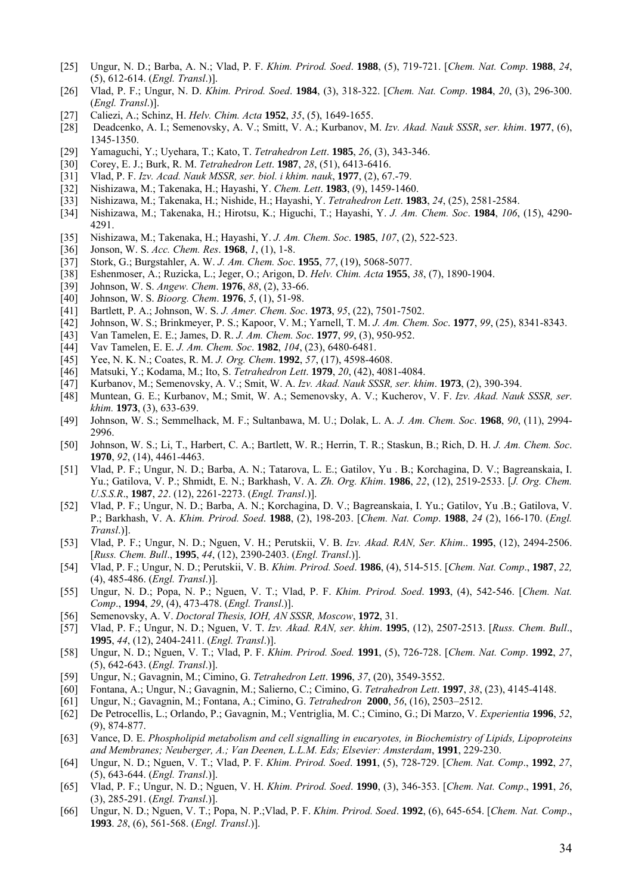- [25] Ungur, N. D.; Barba, A. N.; Vlad, P. F. *Khim. Prirod. Soed*. **1988**, (5), 719-721. [*Chem. Nat. Comp*. **1988**, *24*, (5), 612-614. (*Engl. Transl*.)].
- [26] Vlad, P. F.; Ungur, N. D. *Khim. Prirod. Soed*. **1984**, (3), 318-322. [*Chem. Nat. Comp*. **1984**, *20*, (3), 296-300. (*Engl. Transl*.)].
- [27] Caliezi, A.; Schinz, H. *Helv. Chim. Acta* **1952**, *35*, (5), 1649-1655.
- [28] Deadcenko, A. I.; Semenovsky, A. V.; Smitt, V. A.; Kurbanov, M. *Izv. Akad. Nauk SSSR*, *ser. khim*. **1977**, (6), 1345-1350.
- [29] Yamaguchi, Y.; Uyehara, T.; Kato, T. *Tetrahedron Lett*. **1985**, *26*, (3), 343-346.
- [30] Corey, E. J.; Burk, R. M. *Tetrahedron Lett*. **1987**, *28*, (51), 6413-6416.
- [31] Vlad, P. F. *Izv. Acad. Nauk MSSR, ser. biol. i khim. nauk*, **1977**, (2), 67.-79.
- [32] Nishizawa, M.; Takenaka, H.; Hayashi, Y. *Chem. Lett*. **1983**, (9), 1459-1460.
- [33] Nishizawa, M.; Takenaka, H.; Nishide, H.; Hayashi, Y. *Tetrahedron Lett*. **1983**, *24*, (25), 2581-2584.
- [34] Nishizawa, M.; Takenaka, H.; Hirotsu, K.; Higuchi, T.; Hayashi, Y. *J. Am. Chem. Soc*. **1984**, *106*, (15), 4290- 4291.
- [35] Nishizawa, M.; Takenaka, H.; Hayashi, Y. *J. Am. Chem. Soc*. **1985**, *107*, (2), 522-523.
- [36] Jonson, W. S. *Acc. Chem. Res*. **1968**, *1*, (1), 1-8.
- [37] Stork, G.; Burgstahler, A. W. *J. Am. Chem. Soc*. **1955**, *77*, (19), 5068-5077.
- [38] Eshenmoser, A.; Ruzicka, L.; Jeger, O.; Arigon, D. *Helv. Chim. Acta* **1955**, *38*, (7), 1890-1904.
- [39] Johnson, W. S. *Angew. Chem*. **1976**, *88*, (2), 33-66.
- [40] Johnson, W. S. *Bioorg. Chem*. **1976**, *5*, (1), 51-98.
- [41] Bartlett, P. A.; Johnson, W. S. *J. Amer. Chem. Soc*. **1973**, *95*, (22), 7501-7502.
- [42] Johnson, W. S.; Brinkmeyer, P. S.; Kapoor, V. M.; Yarnell, T. M. *J. Am. Chem. Soc*. **1977**, *99*, (25), 8341-8343.
- [43] Van Tamelen, E. E.; James, D. R. *J. Am. Chem. Soc*. **1977**, *99*, (3), 950-952.
- [44] Vav Tamelen, E. E. *J. Am. Chem. Soc*. **1982**, *104*, (23), 6480-6481.
- [45] Yee, N. K. N.; Coates, R. M. *J. Org. Chem*. **1992**, *57*, (17), 4598-4608.
- [46] Matsuki, Y.; Kodama, M.; Ito, S. *Tetrahedron Lett*. **1979**, *20*, (42), 4081-4084.
- [47] Kurbanov, M.; Semenovsky, A. V.; Smit, W. A. *Izv. Akad. Nauk SSSR, ser. khim*. **1973**, (2), 390-394.
- [48] Muntean, G. E.; Kurbanov, M.; Smit, W. A.; Semenovsky, A. V.; Kucherov, V. F. *Izv. Akad. Nauk SSSR, ser*. *khim.* **1973**, (3), 633-639.
- [49] Johnson, W. S.; Semmelhack, M. F.; Sultanbawa, M. U.; Dolak, L. A. *J. Am. Chem. Soc*. **1968**, *90*, (11), 2994- 2996.
- [50] Johnson, W. S.; Li, T., Harbert, C. A.; Bartlett, W. R.; Herrin, T. R.; Staskun, B.; Rich, D. H. *J. Am. Chem. Soc*. **1970**, *92*, (14), 4461-4463.
- [51] Vlad, P. F.; Ungur, N. D.; Barba, A. N.; Tatarova, L. E.; Gatilov, Yu . B.; Korchagina, D. V.; Bagreanskaia, I. Yu.; Gatilova, V. P.; Shmidt, E. N.; Barkhash, V. A. *Zh. Org. Khim*. **1986**, *22*, (12), 2519-2533. [*J. Org. Chem. U.S.S.R*., **1987**, *22*. (12), 2261-2273. (*Engl. Transl*.)].
- [52] Vlad, P. F.; Ungur, N. D.; Barba, A. N.; Korchagina, D. V.; Bagreanskaia, I. Yu.; Gatilov, Yu .B.; Gatilova, V. P.; Barkhash, V. A. *Khim. Prirod. Soed*. **1988**, (2), 198-203. [*Chem. Nat. Comp*. **1988**, *24* (2), 166-170. (*Engl. Transl*.)].
- [53] Vlad, P. F.; Ungur, N. D.; Nguen, V. H.; Perutskii, V. B. *Izv. Akad. RAN, Ser. Khim*.. **1995**, (12), 2494-2506. [*Russ. Chem. Bull*., **1995**, *44*, (12), 2390-2403. (*Engl. Transl*.)].
- [54] Vlad, P. F.; Ungur, N. D.; Perutskii, V. B. *Khim. Prirod. Soed*. **1986**, (4), 514-515. [*Chem. Nat. Comp*., **1987**, *22,*  (4), 485-486. (*Engl. Transl*.)].
- [55] Ungur, N. D.; Popa, N. P.; Nguen, V. T.; Vlad, P. F. *Khim. Prirod. Soed*. **1993**, (4), 542-546. [*Chem. Nat. Comp*., **1994**, *29*, (4), 473-478. (*Engl. Transl*.)].
- [56] Semenovsky, A. V. *Doctoral Thesis, IOH, AN SSSR, Moscow*, **1972**, 31.
- [57] Vlad, P. F.; Ungur, N. D.; Nguen, V. T. *Izv. Akad. RAN, ser. khim*. **1995**, (12), 2507-2513. [*Russ. Chem. Bull*., **1995**, *44*, (12), 2404-2411. (*Engl. Transl*.)].
- [58] Ungur, N. D.; Nguen, V. T.; Vlad, P. F. *Khim. Prirod. Soed.* **1991**, (5), 726-728. [*Chem. Nat. Comp*. **1992**, *27*, (5), 642-643. (*Engl. Transl*.)].
- [59] Ungur, N.; Gavagnin, M.; Cimino, G. *Tetrahedron Lett*. **1996**, *37*, (20), 3549-3552.
- [60] Fontana, A.; Ungur, N.; Gavagnin, M.; Salierno, C.; Cimino, G. *Tetrahedron Lett*. **1997**, *38*, (23), 4145-4148.
- [61] Ungur, N.; Gavagnin, M.; Fontana, A.; Cimino, G. *Tetrahedron* **2000**, *56*, (16), 2503–2512.
- [62] De Petrocellis, L.; Orlando, P.; Gavagnin, M.; Ventriglia, M. C.; Cimino, G.; Di Marzo, V. *Experientia* **1996**, *52*, (9), 874-877.
- [63] Vance, D. E. *Phospholipid metabolism and cell signalling in eucaryotes, in Biochemistry of Lipids, Lipoproteins and Membranes; Neuberger, A.; Van Deenen, L.L.M. Eds; Elsevier: Amsterdam*, **1991**, 229-230.
- [64] Ungur, N. D.; Nguen, V. T.; Vlad, P. F. *Khim. Prirod. Soed*. **1991**, (5), 728-729. [*Chem. Nat. Comp*., **1992**, *27*, (5), 643-644. (*Engl. Transl*.)].
- [65] Vlad, P. F.; Ungur, N. D.; Nguen, V. H. *Khim. Prirod. Soed*. **1990**, (3), 346-353. [*Chem. Nat. Comp*., **1991**, *26*, (3), 285-291. (*Engl. Transl*.)].
- [66] Ungur, N. D.; Nguen, V. T.; Popa, N. P.;Vlad, P. F. *Khim. Prirod. Soed*. **1992**, (6), 645-654. [*Chem. Nat. Comp*., **1993**. *28*, (6), 561-568. (*Engl. Transl*.)].